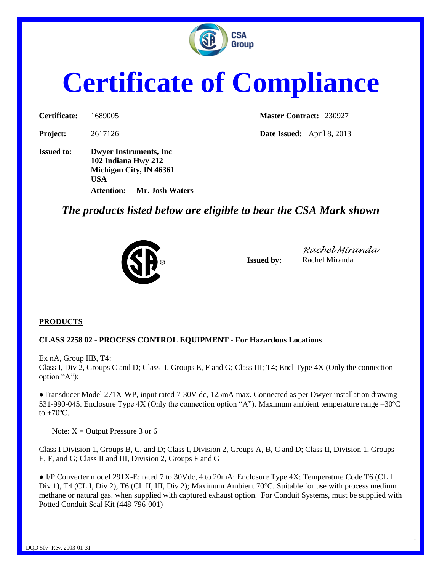

# **Certificate of Compliance**

| Certificate:      | 1689005                                                                                        | <b>Master Contract: 230927</b>    |
|-------------------|------------------------------------------------------------------------------------------------|-----------------------------------|
| <b>Project:</b>   | 2617126                                                                                        | <b>Date Issued:</b> April 8, 2013 |
| <b>Issued to:</b> | <b>Dwyer Instruments, Inc.</b><br>102 Indiana Hwy 212<br>Michigan City, IN 46361<br><b>USA</b> |                                   |

*The products listed below are eligible to bear the CSA Mark shown*



**Attention: Mr. Josh Waters**

**Issued by:**

*Rachel Miranda* Rachel Miranda

### **PRODUCTS**

### **CLASS 2258 02 - PROCESS CONTROL EQUIPMENT - For Hazardous Locations**

Ex nA, Group IIB, T4: Class I, Div 2, Groups C and D; Class II, Groups E, F and G; Class III; T4; Encl Type 4X (Only the connection option "A"):

●Transducer Model 271X-WP, input rated 7-30V dc, 125mA max. Connected as per Dwyer installation drawing 531-990-045. Enclosure Type 4X (Only the connection option "A"). Maximum ambient temperature range –30ºC to  $+70^{\circ}$ C.

Note:  $X =$  Output Pressure 3 or 6

Class I Division 1, Groups B, C, and D; Class I, Division 2, Groups A, B, C and D; Class II, Division 1, Groups E, F, and G; Class II and III, Division 2, Groups F and G

• I/P Converter model 291X-E; rated 7 to 30Vdc, 4 to 20mA; Enclosure Type 4X; Temperature Code T6 (CL I Div 1), T4 (CL I, Div 2), T6 (CL II, III, Div 2); Maximum Ambient 70°C. Suitable for use with process medium methane or natural gas. when supplied with captured exhaust option. For Conduit Systems, must be supplied with Potted Conduit Seal Kit (448-796-001)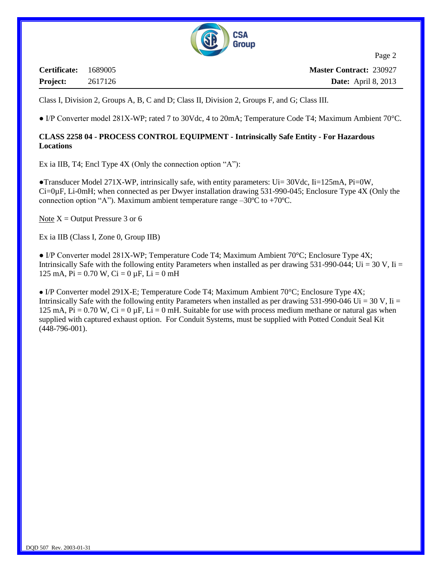

Page 2

| Certificate: 1689005 |         | <b>Master Contract: 230927</b> |
|----------------------|---------|--------------------------------|
| <b>Project:</b>      | 2617126 | <b>Date:</b> April 8, 2013     |

Class I, Division 2, Groups A, B, C and D; Class II, Division 2, Groups F, and G; Class III.

● I/P Converter model 281X-WP; rated 7 to 30Vdc, 4 to 20mA; Temperature Code T4; Maximum Ambient 70°C.

#### **CLASS 2258 04 - PROCESS CONTROL EQUIPMENT - Intrinsically Safe Entity - For Hazardous Locations**

Ex ia IIB, T4; Encl Type 4X (Only the connection option "A"):

•Transducer Model 271X-WP, intrinsically safe, with entity parameters: Ui=  $30\text{Vdc}$ , Ii=125mA, Pi=0W, Ci=0µF, Li-0mH; when connected as per Dwyer installation drawing 531-990-045; Enclosure Type 4X (Only the connection option "A"). Maximum ambient temperature range  $-30^{\circ}$ C to  $+70^{\circ}$ C.

Note  $X =$  Output Pressure 3 or 6

Ex ia IIB (Class I, Zone 0, Group IIB)

• I/P Converter model  $281X$ -WP; Temperature Code T4; Maximum Ambient  $70^{\circ}$ C; Enclosure Type 4X; Intrinsically Safe with the following entity Parameters when installed as per drawing 531-990-044; Ui = 30 V, Ii = 125 mA,  $Pi = 0.70$  W,  $Ci = 0 \mu$ F,  $Li = 0$  mH

• I/P Converter model 291X-E; Temperature Code T4; Maximum Ambient 70 $^{\circ}$ C; Enclosure Type 4X; Intrinsically Safe with the following entity Parameters when installed as per drawing 531-990-046 Ui = 30 V, Ii = 125 mA,  $Pi = 0.70$  W,  $Ci = 0 \mu F$ ,  $Li = 0$  mH. Suitable for use with process medium methane or natural gas when supplied with captured exhaust option. For Conduit Systems, must be supplied with Potted Conduit Seal Kit (448-796-001).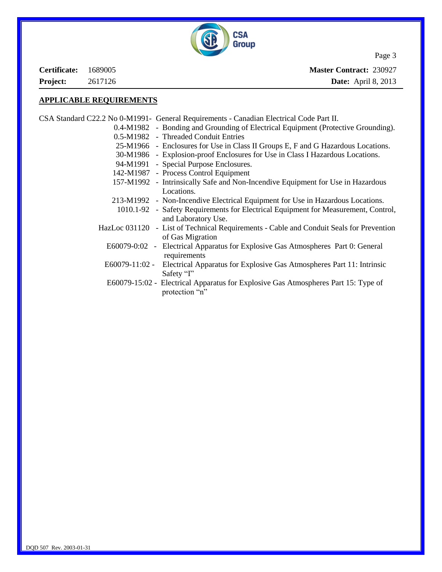

**Certificate:** 1689005 **Project:** 2617126 **Master Contract:** 230927 **Date:** April 8, 2013

Page 3

# **APPLICABLE REQUIREMENTS**

|               | CSA Standard C22.2 No 0-M1991- General Requirements - Canadian Electrical Code Part II.                   |
|---------------|-----------------------------------------------------------------------------------------------------------|
|               | 0.4-M1982 - Bonding and Grounding of Electrical Equipment (Protective Grounding).                         |
|               | 0.5-M1982 - Threaded Conduit Entries                                                                      |
|               | 25-M1966 - Enclosures for Use in Class II Groups E, F and G Hazardous Locations.                          |
|               | 30-M1986 - Explosion-proof Enclosures for Use in Class I Hazardous Locations.                             |
|               | 94-M1991 - Special Purpose Enclosures.                                                                    |
|               | 142-M1987 - Process Control Equipment                                                                     |
|               | 157-M1992 - Intrinsically Safe and Non-Incendive Equipment for Use in Hazardous                           |
|               | Locations.                                                                                                |
|               | 213-M1992 - Non-Incendive Electrical Equipment for Use in Hazardous Locations.                            |
|               | 1010.1-92 - Safety Requirements for Electrical Equipment for Measurement, Control,<br>and Laboratory Use. |
| HazLoc 031120 | - List of Technical Requirements - Cable and Conduit Seals for Prevention<br>of Gas Migration             |
|               | E60079-0:02 - Electrical Apparatus for Explosive Gas Atmospheres Part 0: General<br>requirements          |
|               | E60079-11:02 - Electrical Apparatus for Explosive Gas Atmospheres Part 11: Intrinsic<br>Safety "I"        |
|               | E60079-15:02 - Electrical Apparatus for Explosive Gas Atmospheres Part 15: Type of<br>protection "n"      |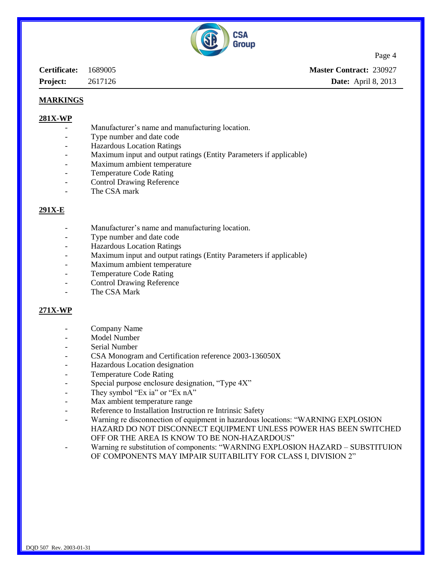

**Certificate:** 1689005 **Project:** 2617126

Page 4 **Master Contract:** 230927

**Date:** April 8, 2013

#### **MARKINGS**

#### **281X-WP**

- Manufacturer's name and manufacturing location.
- Type number and date code
- Hazardous Location Ratings
- Maximum input and output ratings (Entity Parameters if applicable)
- Maximum ambient temperature
- Temperature Code Rating
- Control Drawing Reference
- The CSA mark

#### **291X-E**

- Manufacturer's name and manufacturing location.
- Type number and date code
- Hazardous Location Ratings
- Maximum input and output ratings (Entity Parameters if applicable)
- Maximum ambient temperature
- Temperature Code Rating
- Control Drawing Reference
- The CSA Mark

#### **271X-WP**

- Company Name
- Model Number
- Serial Number
- CSA Monogram and Certification reference 2003-136050X
- Hazardous Location designation
- Temperature Code Rating
- Special purpose enclosure designation, "Type 4X"
- They symbol "Ex ia" or "Ex nA"
- Max ambient temperature range
- Reference to Installation Instruction re Intrinsic Safety
- Warning re disconnection of equipment in hazardous locations: "WARNING EXPLOSION HAZARD DO NOT DISCONNECT EQUIPMENT UNLESS POWER HAS BEEN SWITCHED OFF OR THE AREA IS KNOW TO BE NON-HAZARDOUS"
- Warning re substitution of components: "WARNING EXPLOSION HAZARD SUBSTITUION OF COMPONENTS MAY IMPAIR SUITABILITY FOR CLASS I, DIVISION 2"